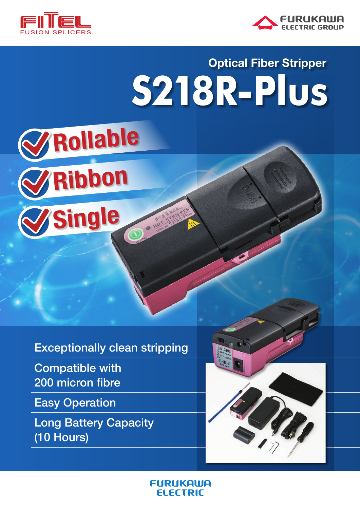



# **S218R-Plus Optical Fiber Stripper**



# **Exceptionally clean stripping**

**Compatible with** 200 micron fibre

**Easy Operation** 

**Long Battery Capacity** (10 Hours)



**FURUKAWA FI FETRIC**